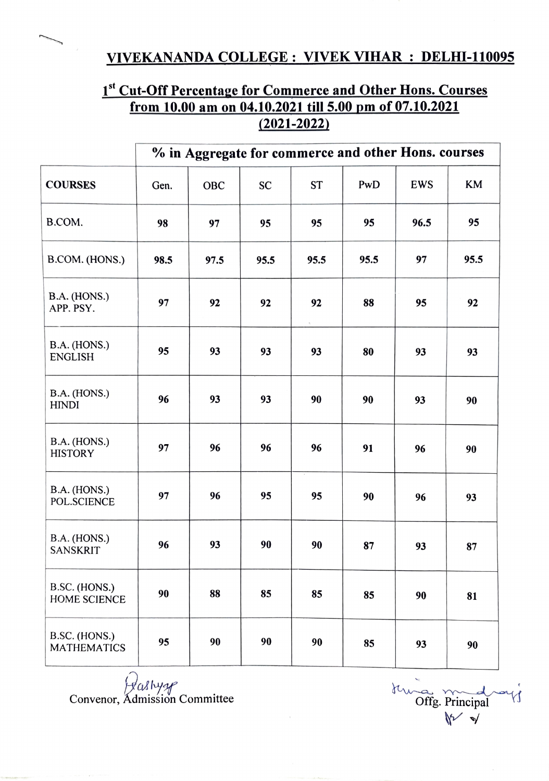### VIVEKANANDA COLLEGE: VIVEK VIHAR: DELHI-110095

## 1<sup>st</sup> Cut-Off Percentage for Commerce and Other Hons. Courses from 10.00 am on 04.10.2021 til 5.00 pm of 07.10.2021 (2021-2022)

|                                     | % in Aggregate for commerce and other Hons. courses |      |      |           |      |      |      |
|-------------------------------------|-----------------------------------------------------|------|------|-----------|------|------|------|
| <b>COURSES</b>                      | Gen.                                                | OBC  | SC   | <b>ST</b> | PwD  | EWS  | KM   |
| B.COM.                              | 98                                                  | 97   | 95   | 95        | 95   | 96.5 | 95   |
| B.COM. (HONS.)                      | 98.5                                                | 97.5 | 95.5 | 95.5      | 95.5 | 97   | 95.5 |
| B.A. (HONS.)<br>APP. PSY.           | 97                                                  | 92   | 92   | 92        | 88   | 95   | 92   |
| B.A. (HONS.)<br><b>ENGLISH</b>      | 95                                                  | 93   | 93   | 93        | 80   | 93   | 93   |
| B.A. (HONS.)<br><b>HINDI</b>        | 96                                                  | 93   | 93   | 90        | 90   | 93   | 90   |
| B.A. (HONS.)<br><b>HISTORY</b>      | 97                                                  | 96   | 96   | 96        | 91   | 96   | 90   |
| B.A. (HONS.)<br>POL.SCIENCE         | 97                                                  | 96   | 95   | 95        | 90   | 96   | 93   |
| B.A. (HONS.)<br><b>SANSKRIT</b>     | 96                                                  | 93   | 90   | 90        | 87   | 93   | 87   |
| B.SC. (HONS.)<br>HOME SCIENCE       | 90                                                  | 88   | 85   | 85        | 85   | 90   | 81   |
| B.SC. (HONS.)<br><b>MATHEMATICS</b> | 95                                                  | 90   | 90   | 90        | 85   | 93   | 90   |

Yaslyge<br>Convenor, Admission Committee Offg. Principal<br>New S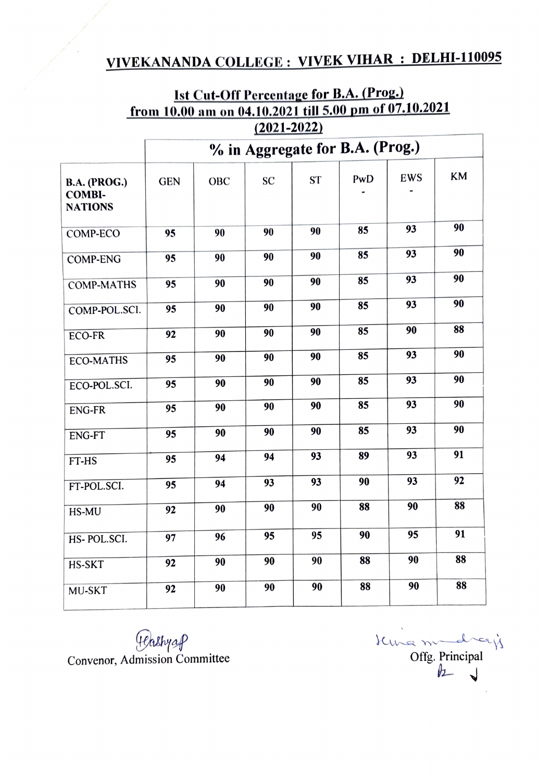# VIVEKANANDA COLLEGE: VIVEK VIHAR : DELHI-110095

| $(2021 - 2022)$                                        |                                 |            |    |           |     |     |    |  |
|--------------------------------------------------------|---------------------------------|------------|----|-----------|-----|-----|----|--|
| <b>B.A. (PROG.)</b><br><b>COMBI-</b><br><b>NATIONS</b> | % in Aggregate for B.A. (Prog.) |            |    |           |     |     |    |  |
|                                                        | <b>GEN</b>                      | <b>OBC</b> | SC | <b>ST</b> | PwD | EWS | KM |  |
| COMP-ECO                                               | 95                              | 90         | 90 | 90        | 85  | 93  | 90 |  |
| <b>COMP-ENG</b>                                        | 95                              | 90         | 90 | 90        | 85  | 93  | 90 |  |
| <b>COMP-MATHS</b>                                      | 95                              | 90         | 90 | 90        | 85  | 93  | 90 |  |
| COMP-POL.SCI.                                          | 95                              | 90         | 90 | 90        | 85  | 93  | 90 |  |
| <b>ECO-FR</b>                                          | 92                              | 90         | 90 | 90        | 85  | 90  | 88 |  |
| <b>ECO-MATHS</b>                                       | 95                              | 90         | 90 | 90        | 85  | 93  | 90 |  |
| ECO-POL.SCI.                                           | 95                              | 90         | 90 | 90        | 85  | 93  | 90 |  |
| <b>ENG-FR</b>                                          | 95                              | 90         | 90 | 90        | 85  | 93  | 90 |  |
| <b>ENG-FT</b>                                          | 95                              | 90         | 90 | 90        | 85  | 93  | 90 |  |
| FT-HS                                                  | 95                              | 94         | 94 | 93        | 89  | 93  | 91 |  |
| FT-POL.SCI.                                            | 95                              | 94         | 93 | 93        | 90  | 93  | 92 |  |
| HS-MU                                                  | 92                              | 90         | 90 | 90        | 88  | 90  | 88 |  |
| HS-POL.SCI.                                            | 97                              | 96         | 95 | 95        | 90  | 95  | 91 |  |
| HS-SKT                                                 | 92                              | 90         | 90 | 90        | 88  | 90  | 88 |  |
| MU-SKT                                                 | 92                              | 90         | 90 | 90        | 88  | 90  | 88 |  |

## Ist Cut-Off Percentage for B.A. (Prog.) from 10.00 am on 04.10.2021 till 5.00 pm of 07.10.2021

Plashyap

Convenor, Admission Committee Offg. Principal